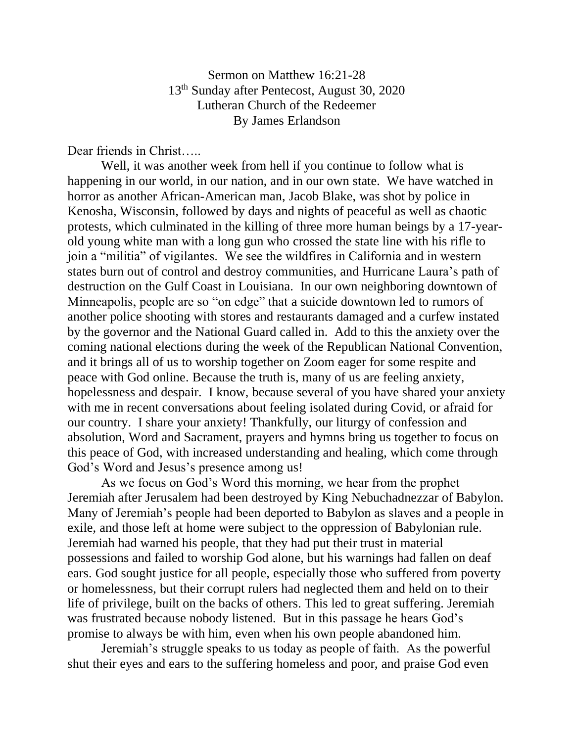Sermon on Matthew 16:21-28 13th Sunday after Pentecost, August 30, 2020 Lutheran Church of the Redeemer By James Erlandson

Dear friends in Christ…..

Well, it was another week from hell if you continue to follow what is happening in our world, in our nation, and in our own state. We have watched in horror as another African-American man, Jacob Blake, was shot by police in Kenosha, Wisconsin, followed by days and nights of peaceful as well as chaotic protests, which culminated in the killing of three more human beings by a 17-yearold young white man with a long gun who crossed the state line with his rifle to join a "militia" of vigilantes. We see the wildfires in California and in western states burn out of control and destroy communities, and Hurricane Laura's path of destruction on the Gulf Coast in Louisiana. In our own neighboring downtown of Minneapolis, people are so "on edge" that a suicide downtown led to rumors of another police shooting with stores and restaurants damaged and a curfew instated by the governor and the National Guard called in. Add to this the anxiety over the coming national elections during the week of the Republican National Convention, and it brings all of us to worship together on Zoom eager for some respite and peace with God online. Because the truth is, many of us are feeling anxiety, hopelessness and despair. I know, because several of you have shared your anxiety with me in recent conversations about feeling isolated during Covid, or afraid for our country. I share your anxiety! Thankfully, our liturgy of confession and absolution, Word and Sacrament, prayers and hymns bring us together to focus on this peace of God, with increased understanding and healing, which come through God's Word and Jesus's presence among us!

As we focus on God's Word this morning, we hear from the prophet Jeremiah after Jerusalem had been destroyed by King Nebuchadnezzar of Babylon. Many of Jeremiah's people had been deported to Babylon as slaves and a people in exile, and those left at home were subject to the oppression of Babylonian rule. Jeremiah had warned his people, that they had put their trust in material possessions and failed to worship God alone, but his warnings had fallen on deaf ears. God sought justice for all people, especially those who suffered from poverty or homelessness, but their corrupt rulers had neglected them and held on to their life of privilege, built on the backs of others. This led to great suffering. Jeremiah was frustrated because nobody listened. But in this passage he hears God's promise to always be with him, even when his own people abandoned him.

Jeremiah's struggle speaks to us today as people of faith. As the powerful shut their eyes and ears to the suffering homeless and poor, and praise God even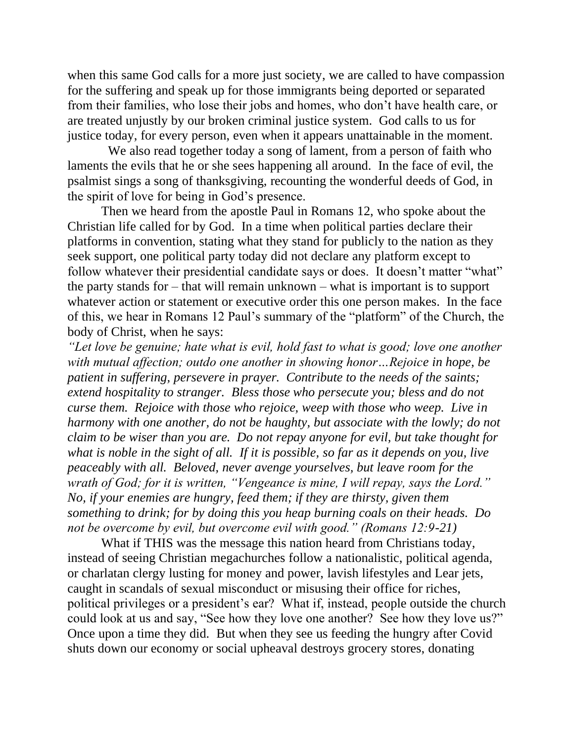when this same God calls for a more just society, we are called to have compassion for the suffering and speak up for those immigrants being deported or separated from their families, who lose their jobs and homes, who don't have health care, or are treated unjustly by our broken criminal justice system. God calls to us for justice today, for every person, even when it appears unattainable in the moment.

 We also read together today a song of lament, from a person of faith who laments the evils that he or she sees happening all around. In the face of evil, the psalmist sings a song of thanksgiving, recounting the wonderful deeds of God, in the spirit of love for being in God's presence.

Then we heard from the apostle Paul in Romans 12, who spoke about the Christian life called for by God. In a time when political parties declare their platforms in convention, stating what they stand for publicly to the nation as they seek support, one political party today did not declare any platform except to follow whatever their presidential candidate says or does. It doesn't matter "what" the party stands for – that will remain unknown – what is important is to support whatever action or statement or executive order this one person makes. In the face of this, we hear in Romans 12 Paul's summary of the "platform" of the Church, the body of Christ, when he says:

*"Let love be genuine; hate what is evil, hold fast to what is good; love one another with mutual affection; outdo one another in showing honor…Rejoice in hope, be patient in suffering, persevere in prayer. Contribute to the needs of the saints; extend hospitality to stranger. Bless those who persecute you; bless and do not curse them. Rejoice with those who rejoice, weep with those who weep. Live in harmony with one another, do not be haughty, but associate with the lowly; do not claim to be wiser than you are. Do not repay anyone for evil, but take thought for what is noble in the sight of all. If it is possible, so far as it depends on you, live peaceably with all. Beloved, never avenge yourselves, but leave room for the wrath of God; for it is written, "Vengeance is mine, I will repay, says the Lord." No, if your enemies are hungry, feed them; if they are thirsty, given them something to drink; for by doing this you heap burning coals on their heads. Do not be overcome by evil, but overcome evil with good." (Romans 12:9-21)*

What if THIS was the message this nation heard from Christians today, instead of seeing Christian megachurches follow a nationalistic, political agenda, or charlatan clergy lusting for money and power, lavish lifestyles and Lear jets, caught in scandals of sexual misconduct or misusing their office for riches, political privileges or a president's ear? What if, instead, people outside the church could look at us and say, "See how they love one another? See how they love us?" Once upon a time they did. But when they see us feeding the hungry after Covid shuts down our economy or social upheaval destroys grocery stores, donating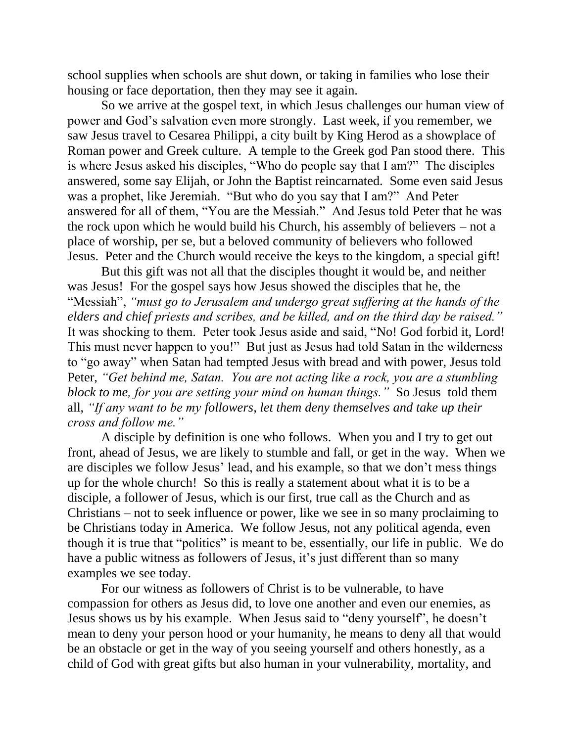school supplies when schools are shut down, or taking in families who lose their housing or face deportation, then they may see it again.

So we arrive at the gospel text, in which Jesus challenges our human view of power and God's salvation even more strongly. Last week, if you remember, we saw Jesus travel to Cesarea Philippi, a city built by King Herod as a showplace of Roman power and Greek culture. A temple to the Greek god Pan stood there. This is where Jesus asked his disciples, "Who do people say that I am?" The disciples answered, some say Elijah, or John the Baptist reincarnated. Some even said Jesus was a prophet, like Jeremiah. "But who do you say that I am?" And Peter answered for all of them, "You are the Messiah." And Jesus told Peter that he was the rock upon which he would build his Church, his assembly of believers – not a place of worship, per se, but a beloved community of believers who followed Jesus. Peter and the Church would receive the keys to the kingdom, a special gift!

But this gift was not all that the disciples thought it would be, and neither was Jesus! For the gospel says how Jesus showed the disciples that he, the "Messiah", *"must go to Jerusalem and undergo great suffering at the hands of the elders and chief priests and scribes, and be killed, and on the third day be raised."* It was shocking to them. Peter took Jesus aside and said, "No! God forbid it, Lord! This must never happen to you!" But just as Jesus had told Satan in the wilderness to "go away" when Satan had tempted Jesus with bread and with power, Jesus told Peter, *"Get behind me, Satan. You are not acting like a rock, you are a stumbling block to me, for you are setting your mind on human things."* So Jesus told them all, *"If any want to be my followers, let them deny themselves and take up their cross and follow me."*

A disciple by definition is one who follows. When you and I try to get out front, ahead of Jesus, we are likely to stumble and fall, or get in the way. When we are disciples we follow Jesus' lead, and his example, so that we don't mess things up for the whole church! So this is really a statement about what it is to be a disciple, a follower of Jesus, which is our first, true call as the Church and as Christians – not to seek influence or power, like we see in so many proclaiming to be Christians today in America. We follow Jesus, not any political agenda, even though it is true that "politics" is meant to be, essentially, our life in public. We do have a public witness as followers of Jesus, it's just different than so many examples we see today.

For our witness as followers of Christ is to be vulnerable, to have compassion for others as Jesus did, to love one another and even our enemies, as Jesus shows us by his example. When Jesus said to "deny yourself", he doesn't mean to deny your person hood or your humanity, he means to deny all that would be an obstacle or get in the way of you seeing yourself and others honestly, as a child of God with great gifts but also human in your vulnerability, mortality, and